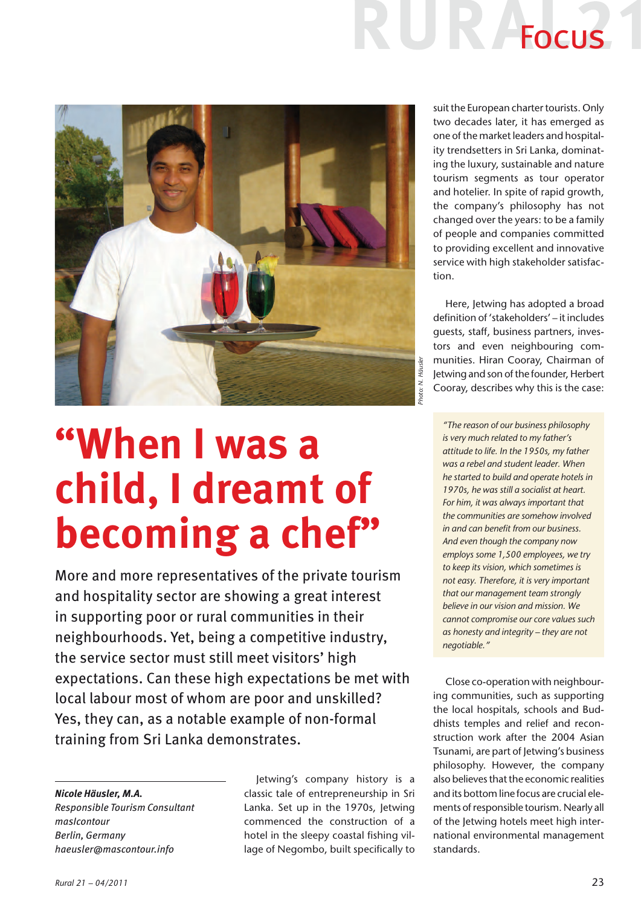

**"When I was a child, I dreamt of becoming a chef"**

More and more representatives of the private tourism and hospitality sector are showing a great interest in supporting poor or rural communities in their neighbourhoods. Yet, being a competitive industry, the service sector must still meet visitors' high expectations. Can these high expectations be met with local labour most of whom are poor and unskilled? Yes, they can, as a notable example of non-formal training from Sri Lanka demonstrates.

### *Nicole Häusler, M.A.*

*Responsible Tourism Consultant masIcontour Berlin, Germany haeusler@mascontour.info*

Jetwing's company history is a classic tale of entrepreneurship in Sri Lanka. Set up in the 1970s, Jetwing commenced the construction of a hotel in the sleepy coastal fishing village of Negombo, built specifically to

suit the European charter tourists. Only two decades later, it has emerged as one of the market leaders and hospitality trendsetters in Sri Lanka, dominating the luxury, sustainable and nature tourism segments as tour operator and hotelier. In spite of rapid growth, the company's philosophy has not changed over the years: to be a family of people and companies committed to providing excellent and innovative service with high stakeholder satisfaction.

IR Focus

Here, Jetwing has adopted a broad definition of 'stakeholders' – it includes guests, staff, business partners, investors and even neighbouring communities. Hiran Cooray, Chairman of Jetwing and son of the founder, Herbert Cooray, describes why this is the case:

*"The reason of our business philosophy is very much related to my father's attitude to life. In the 1950s, my father was a rebel and student leader. When he started to build and operate hotels in 1970s, he was still a socialist at heart. For him, it was always important that the communities are somehow involved in and can benefit from our business. And even though the company now employs some 1,500 employees, we try to keep its vision, which sometimes is not easy. Therefore, it is very important that our management team strongly believe in our vision and mission. We cannot compromise our core values such as honesty and integrity – they are not negotiable."* 

Close co-operation with neighbouring communities, such as supporting the local hospitals, schools and Buddhists temples and relief and reconstruction work after the 2004 Asian Tsunami, are part of Jetwing's business philosophy. However, the company also believes that the economic realities and its bottom line focus are crucial elements of responsible tourism. Nearly all of the Jetwing hotels meet high international environmental management standards.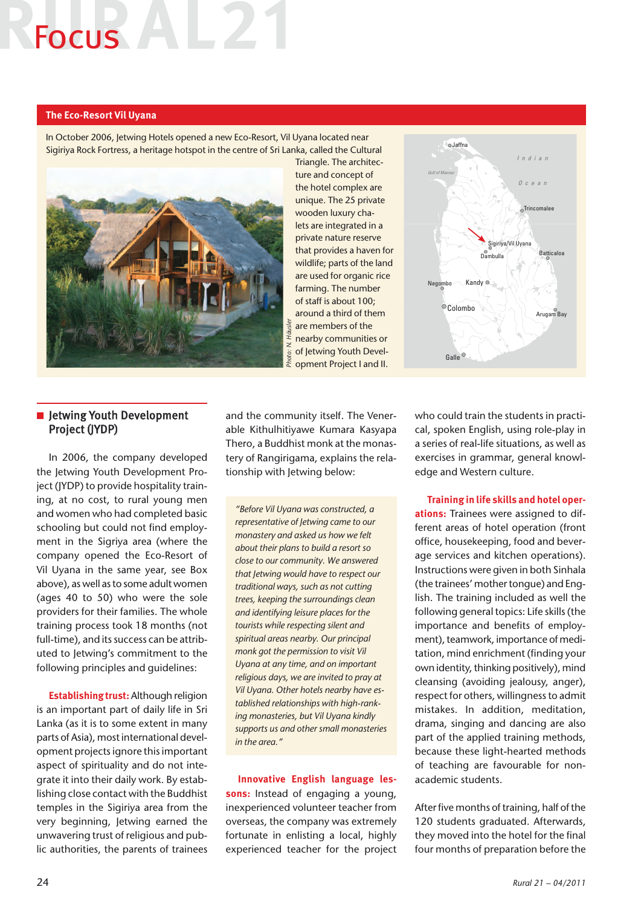# Focus

# **The Eco-Resort Vil Uyana**

In October 2006, Jetwing Hotels opened a new Eco-Resort, Vil Uyana located near Sigiriya Rock Fortress, a heritage hotspot in the centre of Sri Lanka, called the Cultural



Triangle. The architecture and concept of the hotel complex are unique. The 25 private wooden luxury chalets are integrated in a private nature reserve that provides a haven for wildlife; parts of the land are used for organic rice farming. The number of staff is about 100; around a third of them are members of the nearby communities or of Jetwing Youth Development Project I and II.



# **n** Jetwing Youth Development Project (JYDP)

In 2006, the company developed the Jetwing Youth Development Project (JYDP) to provide hospitality training, at no cost, to rural young men and women who had completed basic schooling but could not find employment in the Sigriya area (where the company opened the Eco-Resort of Vil Uyana in the same year, see Box above), as well as to some adult women (ages 40 to 50) who were the sole providers for their families. The whole training process took 18 months (not full-time), and its success can be attributed to Jetwing's commitment to the following principles and guidelines:

**Establishing trust:** Although religion is an important part of daily life in Sri Lanka (as it is to some extent in many parts of Asia), most international development projects ignore this important aspect of spirituality and do not integrate it into their daily work. By establishing close contact with the Buddhist temples in the Sigiriya area from the very beginning, Jetwing earned the unwavering trust of religious and public authorities, the parents of trainees

and the community itself. The Venerable Kithulhitiyawe Kumara Kasyapa Thero, a Buddhist monk at the monastery of Rangirigama, explains the relationship with Jetwing below:

*"Before Vil Uyana was constructed, a representative of Jetwing came to our monastery and asked us how we felt about their plans to build a resort so close to our community. We answered that Jetwing would have to respect our traditional ways, such as not cutting trees, keeping the surroundings clean and identifying leisure places for the tourists while respecting silent and spiritual areas nearby. Our principal monk got the permission to visit Vil Uyana at any time, and on important religious days, we are invited to pray at Vil Uyana. Other hotels nearby have established relationships with high-ranking monasteries, but Vil Uyana kindly supports us and other small monasteries in the area."* 

**Innovative English language lessons:** Instead of engaging a young, inexperienced volunteer teacher from overseas, the company was extremely fortunate in enlisting a local, highly experienced teacher for the project who could train the students in practical, spoken English, using role-play in a series of real-life situations, as well as exercises in grammar, general knowledge and Western culture.

**Training in life skills and hotel operations:** Trainees were assigned to different areas of hotel operation (front office, housekeeping, food and beverage services and kitchen operations). Instructions were given in both Sinhala (the trainees' mother tongue) and English. The training included as well the following general topics: Life skills (the importance and benefits of employment), teamwork, importance of meditation, mind enrichment (finding your own identity, thinking positively), mind cleansing (avoiding jealousy, anger), respect for others, willingness to admit mistakes. In addition, meditation, drama, singing and dancing are also part of the applied training methods, because these light-hearted methods of teaching are favourable for nonacademic students.

After five months of training, half of the 120 students graduated. Afterwards, they moved into the hotel for the final four months of preparation before the